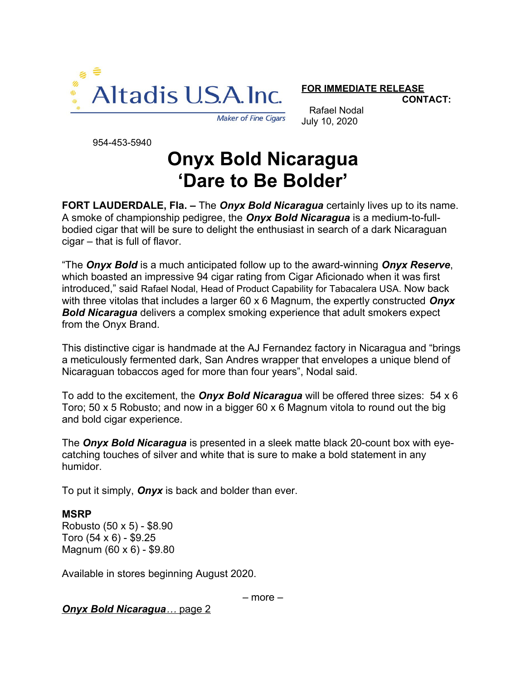

**FOR IMMEDIATE RELEASE**

**CONTACT:**

**Maker of Fine Cigars** 

Rafael Nodal July 10, 2020

954-453-5940

## **Onyx Bold Nicaragua 'Dare to Be Bolder'**

**FORT LAUDERDALE, Fla. –** The *Onyx Bold Nicaragua* certainly lives up to its name. A smoke of championship pedigree, the *Onyx Bold Nicaragua* is a medium-to-fullbodied cigar that will be sure to delight the enthusiast in search of a dark Nicaraguan cigar – that is full of flavor.

"The *Onyx Bold* is a much anticipated follow up to the award-winning *Onyx Reserve*, which boasted an impressive 94 cigar rating from Cigar Aficionado when it was first introduced," said Rafael Nodal, Head of Product Capability for Tabacalera USA. Now back with three vitolas that includes a larger 60 x 6 Magnum, the expertly constructed *Onyx Bold Nicaragua* delivers a complex smoking experience that adult smokers expect from the Onyx Brand.

This distinctive cigar is handmade at the AJ Fernandez factory in Nicaragua and "brings a meticulously fermented dark, San Andres wrapper that envelopes a unique blend of Nicaraguan tobaccos aged for more than four years", Nodal said.

To add to the excitement, the *Onyx Bold Nicaragua* will be offered three sizes: 54 x 6 Toro; 50 x 5 Robusto; and now in a bigger 60 x 6 Magnum vitola to round out the big and bold cigar experience.

The *Onyx Bold Nicaragua* is presented in a sleek matte black 20-count box with eyecatching touches of silver and white that is sure to make a bold statement in any humidor.

To put it simply, *Onyx* is back and bolder than ever.

## **MSRP**

Robusto (50 x 5) - \$8.90 Toro (54 x 6) - \$9.25 Magnum (60 x 6) - \$9.80

Available in stores beginning August 2020.

– more –

 *Onyx Bold Nicaragua …* page 2